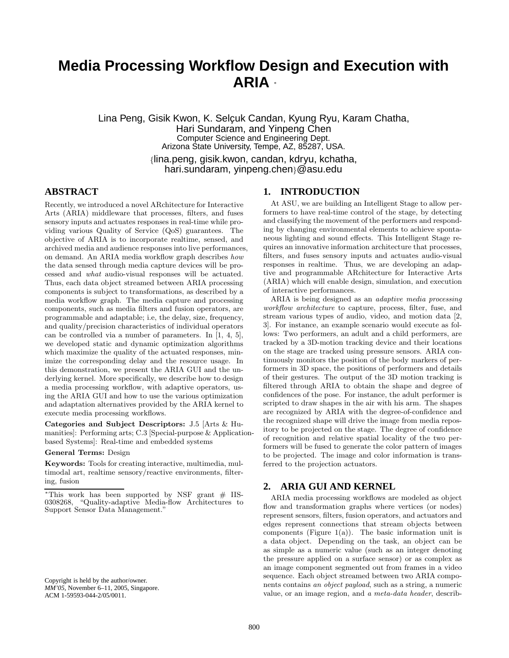# **Media Processing Workflow Design and Execution with ARIA** <sup>∗</sup>

Lina Peng, Gisik Kwon, K. Selçuk Candan, Kyung Ryu, Karam Chatha, Hari Sundaram, and Yinpeng Chen Computer Science and Engineering Dept. Arizona State University, Tempe, AZ, 85287, USA. *{*lina.peng, gisik.kwon, candan, kdryu, kchatha,

hari.sundaram, yinpeng.chen*}*@asu.edu

## **ABSTRACT**

Recently, we introduced a novel ARchitecture for Interactive Arts (ARIA) middleware that processes, filters, and fuses sensory inputs and actuates responses in real-time while providing various Quality of Service (QoS) guarantees. The objective of ARIA is to incorporate realtime, sensed, and archived media and audience responses into live performances, on demand. An ARIA media workflow graph describes how the data sensed through media capture devices will be processed and what audio-visual responses will be actuated. Thus, each data object streamed between ARIA processing components is subject to transformations, as described by a media workflow graph. The media capture and processing components, such as media filters and fusion operators, are programmable and adaptable; i.e, the delay, size, frequency, and quality/precision characteristics of individual operators can be controlled via a number of parameters. In [1, 4, 5], we developed static and dynamic optimization algorithms which maximize the quality of the actuated responses, minimize the corresponding delay and the resource usage. In this demonstration, we present the ARIA GUI and the underlying kernel. More specifically, we describe how to design a media processing workflow, with adaptive operators, using the ARIA GUI and how to use the various optimization and adaptation alternatives provided by the ARIA kernel to execute media processing workflows.

**Categories and Subject Descriptors:** J.5 [Arts & Humanities]: Performing arts; C.3 [Special-purpose & Applicationbased Systems]: Real-time and embedded systems

#### **General Terms:** Design

**Keywords:** Tools for creating interactive, multimedia, multimodal art, realtime sensory/reactive environments, filtering, fusion

Copyright is held by the author/owner. *MM'05,* November 6–11, 2005, Singapore. ACM 1-59593-044-2/05/0011.

## **1. INTRODUCTION**

At ASU, we are building an Intelligent Stage to allow performers to have real-time control of the stage, by detecting and classifying the movement of the performers and responding by changing environmental elements to achieve spontaneous lighting and sound effects. This Intelligent Stage requires an innovative information architecture that processes, filters, and fuses sensory inputs and actuates audio-visual responses in realtime. Thus, we are developing an adaptive and programmable ARchitecture for Interactive Arts (ARIA) which will enable design, simulation, and execution of interactive performances.

ARIA is being designed as an adaptive media processing workflow architecture to capture, process, filter, fuse, and stream various types of audio, video, and motion data [2, 3]. For instance, an example scenario would execute as follows: Two performers, an adult and a child performers, are tracked by a 3D-motion tracking device and their locations on the stage are tracked using pressure sensors. ARIA continuously monitors the position of the body markers of performers in 3D space, the positions of performers and details of their gestures. The output of the 3D motion tracking is filtered through ARIA to obtain the shape and degree of confidences of the pose. For instance, the adult performer is scripted to draw shapes in the air with his arm. The shapes are recognized by ARIA with the degree-of-confidence and the recognized shape will drive the image from media repository to be projected on the stage. The degree of confidence of recognition and relative spatial locality of the two performers will be fused to generate the color pattern of images to be projected. The image and color information is transferred to the projection actuators.

## **2. ARIA GUI AND KERNEL**

ARIA media processing workflows are modeled as object flow and transformation graphs where vertices (or nodes) represent sensors, filters, fusion operators, and actuators and edges represent connections that stream objects between components (Figure 1(a)). The basic information unit is a data object. Depending on the task, an object can be as simple as a numeric value (such as an integer denoting the pressure applied on a surface sensor) or as complex as an image component segmented out from frames in a video sequence. Each object streamed between two ARIA components contains an object payload, such as a string, a numeric value, or an image region, and a meta-data header, describ-

<sup>∗</sup>This work has been supported by NSF grant # IIS-0308268, "Quality-adaptive Media-flow Architectures to Support Sensor Data Management."